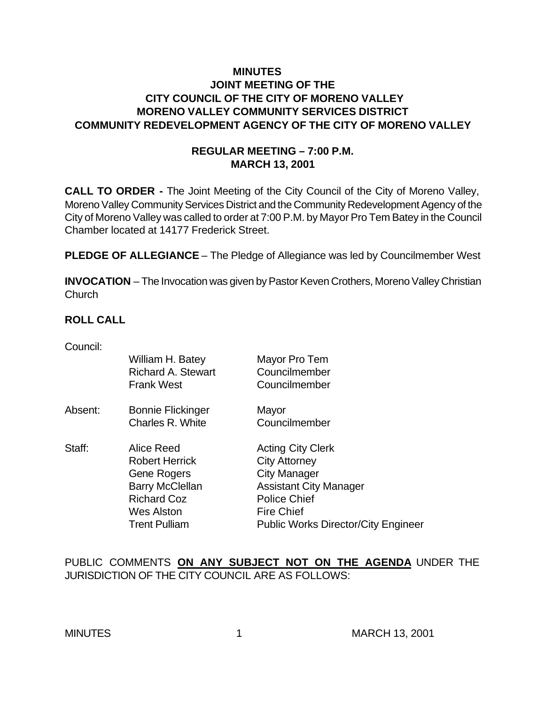## **MINUTES JOINT MEETING OF THE CITY COUNCIL OF THE CITY OF MORENO VALLEY MORENO VALLEY COMMUNITY SERVICES DISTRICT COMMUNITY REDEVELOPMENT AGENCY OF THE CITY OF MORENO VALLEY**

### **REGULAR MEETING – 7:00 P.M. MARCH 13, 2001**

**CALL TO ORDER -** The Joint Meeting of the City Council of the City of Moreno Valley, Moreno Valley Community Services District and the Community Redevelopment Agency of the City of Moreno Valley was called to order at 7:00 P.M. by Mayor Pro Tem Batey in the Council Chamber located at 14177 Frederick Street.

**PLEDGE OF ALLEGIANCE** – The Pledge of Allegiance was led by Councilmember West

**INVOCATION** – The Invocation was given by Pastor Keven Crothers, Moreno Valley Christian **Church** 

### **ROLL CALL**

Council:

| William H. Batey<br><b>Richard A. Stewart</b><br><b>Frank West</b>                   | Mayor Pro Tem<br>Councilmember<br>Councilmember |
|--------------------------------------------------------------------------------------|-------------------------------------------------|
| <b>Bonnie Flickinger</b>                                                             | Mayor                                           |
| Charles R. White                                                                     | Councilmember                                   |
| Alice Reed                                                                           | <b>Acting City Clerk</b>                        |
| <b>Robert Herrick</b><br>Gene Rogers<br><b>Barry McClellan</b><br><b>Richard Coz</b> | <b>City Attorney</b>                            |
|                                                                                      | <b>City Manager</b>                             |
|                                                                                      | <b>Assistant City Manager</b>                   |
|                                                                                      | <b>Police Chief</b>                             |
| Wes Alston                                                                           | <b>Fire Chief</b>                               |
| <b>Trent Pulliam</b>                                                                 | <b>Public Works Director/City Engineer</b>      |
|                                                                                      |                                                 |

PUBLIC COMMENTS **ON ANY SUBJECT NOT ON THE AGENDA** UNDER THE JURISDICTION OF THE CITY COUNCIL ARE AS FOLLOWS: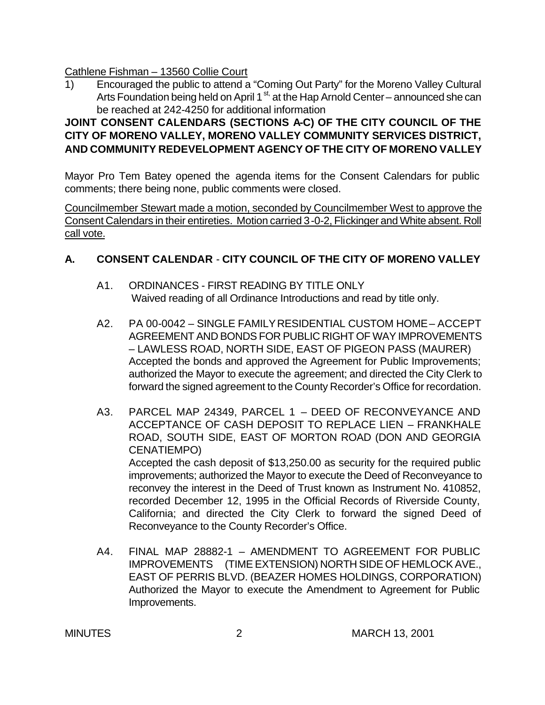Cathlene Fishman – 13560 Collie Court

1) Encouraged the public to attend a "Coming Out Party" for the Moreno Valley Cultural Arts Foundation being held on April 1<sup>st,</sup> at the Hap Arnold Center – announced she can be reached at 242-4250 for additional information

# **JOINT CONSENT CALENDARS (SECTIONS A-C) OF THE CITY COUNCIL OF THE CITY OF MORENO VALLEY, MORENO VALLEY COMMUNITY SERVICES DISTRICT, AND COMMUNITY REDEVELOPMENT AGENCY OF THE CITY OF MORENO VALLEY**

Mayor Pro Tem Batey opened the agenda items for the Consent Calendars for public comments; there being none, public comments were closed.

Councilmember Stewart made a motion, seconded by Councilmember West to approve the Consent Calendars in their entireties. Motion carried 3-0-2, Flickinger and White absent. Roll call vote.

# **A. CONSENT CALENDAR** - **CITY COUNCIL OF THE CITY OF MORENO VALLEY**

- A1. ORDINANCES FIRST READING BY TITLE ONLY Waived reading of all Ordinance Introductions and read by title only.
- A2. PA 00-0042 SINGLE FAMILY RESIDENTIAL CUSTOM HOME ACCEPT AGREEMENT AND BONDS FOR PUBLIC RIGHT OF WAY IMPROVEMENTS – LAWLESS ROAD, NORTH SIDE, EAST OF PIGEON PASS (MAURER) Accepted the bonds and approved the Agreement for Public Improvements; authorized the Mayor to execute the agreement; and directed the City Clerk to forward the signed agreement to the County Recorder's Office for recordation.
- A3. PARCEL MAP 24349, PARCEL 1 DEED OF RECONVEYANCE AND ACCEPTANCE OF CASH DEPOSIT TO REPLACE LIEN – FRANKHALE ROAD, SOUTH SIDE, EAST OF MORTON ROAD (DON AND GEORGIA CENATIEMPO) Accepted the cash deposit of \$13,250.00 as security for the required public improvements; authorized the Mayor to execute the Deed of Reconveyance to reconvey the interest in the Deed of Trust known as Instrument No. 410852, recorded December 12, 1995 in the Official Records of Riverside County, California; and directed the City Clerk to forward the signed Deed of Reconveyance to the County Recorder's Office.
- A4. FINAL MAP 28882-1 AMENDMENT TO AGREEMENT FOR PUBLIC IMPROVEMENTS (TIME EXTENSION) NORTH SIDE OF HEMLOCK AVE., EAST OF PERRIS BLVD. (BEAZER HOMES HOLDINGS, CORPORATION) Authorized the Mayor to execute the Amendment to Agreement for Public Improvements.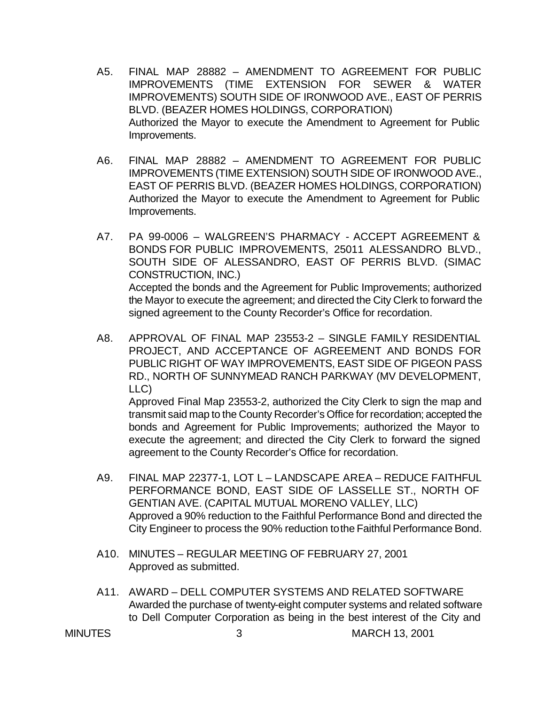- A5. FINAL MAP 28882 AMENDMENT TO AGREEMENT FOR PUBLIC IMPROVEMENTS (TIME EXTENSION FOR SEWER & WATER IMPROVEMENTS) SOUTH SIDE OF IRONWOOD AVE., EAST OF PERRIS BLVD. (BEAZER HOMES HOLDINGS, CORPORATION) Authorized the Mayor to execute the Amendment to Agreement for Public Improvements.
- A6. FINAL MAP 28882 AMENDMENT TO AGREEMENT FOR PUBLIC IMPROVEMENTS (TIME EXTENSION) SOUTH SIDE OF IRONWOOD AVE., EAST OF PERRIS BLVD. (BEAZER HOMES HOLDINGS, CORPORATION) Authorized the Mayor to execute the Amendment to Agreement for Public Improvements.
- A7. PA 99-0006 WALGREEN'S PHARMACY ACCEPT AGREEMENT & BONDS FOR PUBLIC IMPROVEMENTS, 25011 ALESSANDRO BLVD., SOUTH SIDE OF ALESSANDRO, EAST OF PERRIS BLVD. (SIMAC CONSTRUCTION, INC.) Accepted the bonds and the Agreement for Public Improvements; authorized the Mayor to execute the agreement; and directed the City Clerk to forward the signed agreement to the County Recorder's Office for recordation.
- A8. APPROVAL OF FINAL MAP 23553-2 SINGLE FAMILY RESIDENTIAL PROJECT, AND ACCEPTANCE OF AGREEMENT AND BONDS FOR PUBLIC RIGHT OF WAY IMPROVEMENTS, EAST SIDE OF PIGEON PASS RD., NORTH OF SUNNYMEAD RANCH PARKWAY (MV DEVELOPMENT, LLC)

Approved Final Map 23553-2, authorized the City Clerk to sign the map and transmit said map to the County Recorder's Office for recordation; accepted the bonds and Agreement for Public Improvements; authorized the Mayor to execute the agreement; and directed the City Clerk to forward the signed agreement to the County Recorder's Office for recordation.

- A9. FINAL MAP 22377-1, LOT L LANDSCAPE AREA REDUCE FAITHFUL PERFORMANCE BOND, EAST SIDE OF LASSELLE ST., NORTH OF GENTIAN AVE. (CAPITAL MUTUAL MORENO VALLEY, LLC) Approved a 90% reduction to the Faithful Performance Bond and directed the City Engineer to process the 90% reduction to the Faithful Performance Bond.
- A10. MINUTES REGULAR MEETING OF FEBRUARY 27, 2001 Approved as submitted.
- A11. AWARD DELL COMPUTER SYSTEMS AND RELATED SOFTWARE Awarded the purchase of twenty-eight computer systems and related software to Dell Computer Corporation as being in the best interest of the City and

MINUTES 3 MARCH 13, 2001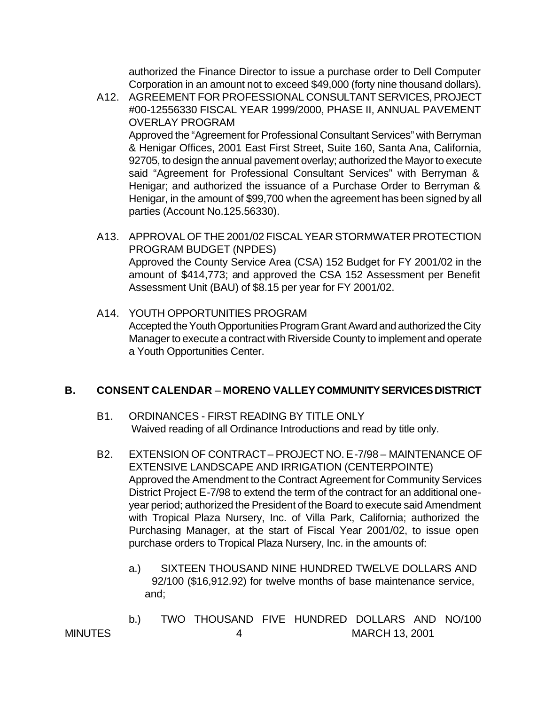authorized the Finance Director to issue a purchase order to Dell Computer Corporation in an amount not to exceed \$49,000 (forty nine thousand dollars).

A12. AGREEMENT FOR PROFESSIONAL CONSULTANT SERVICES, PROJECT #00-12556330 FISCAL YEAR 1999/2000, PHASE II, ANNUAL PAVEMENT OVERLAY PROGRAM Approved the "Agreement for Professional Consultant Services" with Berryman & Henigar Offices, 2001 East First Street, Suite 160, Santa Ana, California, 92705, to design the annual pavement overlay; authorized the Mayor to execute said "Agreement for Professional Consultant Services" with Berryman &

Henigar; and authorized the issuance of a Purchase Order to Berryman & Henigar, in the amount of \$99,700 when the agreement has been signed by all parties (Account No.125.56330).

- A13. APPROVAL OF THE 2001/02 FISCAL YEAR STORMWATER PROTECTION PROGRAM BUDGET (NPDES) Approved the County Service Area (CSA) 152 Budget for FY 2001/02 in the amount of \$414,773; and approved the CSA 152 Assessment per Benefit Assessment Unit (BAU) of \$8.15 per year for FY 2001/02.
- A14. YOUTH OPPORTUNITIES PROGRAM Accepted the Youth Opportunities Program Grant Award and authorized the City Manager to execute a contract with Riverside County to implement and operate a Youth Opportunities Center.

#### **B. CONSENT CALENDAR** – **MORENO VALLEY COMMUNITY SERVICES DISTRICT**

- B1. ORDINANCES FIRST READING BY TITLE ONLY Waived reading of all Ordinance Introductions and read by title only.
- B2. EXTENSION OF CONTRACT PROJECT NO. E-7/98 MAINTENANCE OF EXTENSIVE LANDSCAPE AND IRRIGATION (CENTERPOINTE) Approved the Amendment to the Contract Agreement for Community Services District Project E-7/98 to extend the term of the contract for an additional oneyear period; authorized the President of the Board to execute said Amendment with Tropical Plaza Nursery, Inc. of Villa Park, California; authorized the Purchasing Manager, at the start of Fiscal Year 2001/02, to issue open purchase orders to Tropical Plaza Nursery, Inc. in the amounts of:
	- a.) SIXTEEN THOUSAND NINE HUNDRED TWELVE DOLLARS AND 92/100 (\$16,912.92) for twelve months of base maintenance service, and;
- MINUTES 4 MARCH 13, 2001 b.) TWO THOUSAND FIVE HUNDRED DOLLARS AND NO/100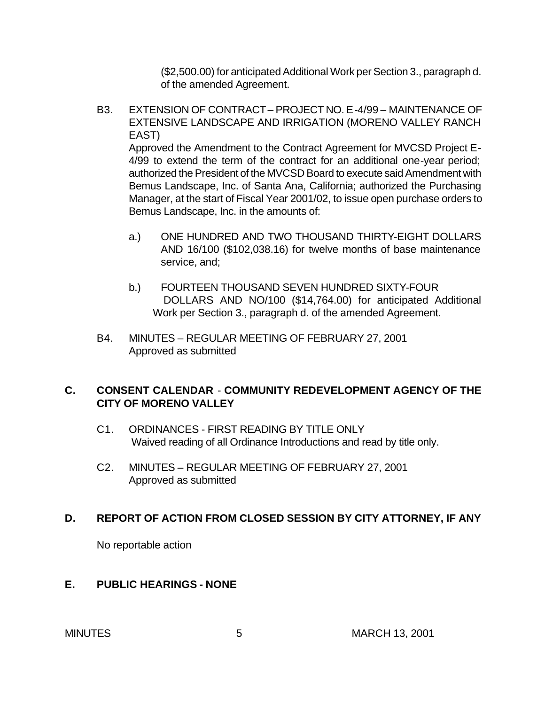(\$2,500.00) for anticipated Additional Work per Section 3., paragraph d. of the amended Agreement.

B3. EXTENSION OF CONTRACT – PROJECT NO. E-4/99 – MAINTENANCE OF EXTENSIVE LANDSCAPE AND IRRIGATION (MORENO VALLEY RANCH EAST)

Approved the Amendment to the Contract Agreement for MVCSD Project E-4/99 to extend the term of the contract for an additional one-year period; authorized the President of the MVCSD Board to execute said Amendment with Bemus Landscape, Inc. of Santa Ana, California; authorized the Purchasing Manager, at the start of Fiscal Year 2001/02, to issue open purchase orders to Bemus Landscape, Inc. in the amounts of:

- a.) ONE HUNDRED AND TWO THOUSAND THIRTY-EIGHT DOLLARS AND 16/100 (\$102,038.16) for twelve months of base maintenance service, and;
- b.) FOURTEEN THOUSAND SEVEN HUNDRED SIXTY-FOUR DOLLARS AND NO/100 (\$14,764.00) for anticipated Additional Work per Section 3., paragraph d. of the amended Agreement.
- B4. MINUTES REGULAR MEETING OF FEBRUARY 27, 2001 Approved as submitted

## **C. CONSENT CALENDAR** - **COMMUNITY REDEVELOPMENT AGENCY OF THE CITY OF MORENO VALLEY**

- C1. ORDINANCES FIRST READING BY TITLE ONLY Waived reading of all Ordinance Introductions and read by title only.
- C2. MINUTES REGULAR MEETING OF FEBRUARY 27, 2001 Approved as submitted

## **D. REPORT OF ACTION FROM CLOSED SESSION BY CITY ATTORNEY, IF ANY**

No reportable action

#### **E. PUBLIC HEARINGS - NONE**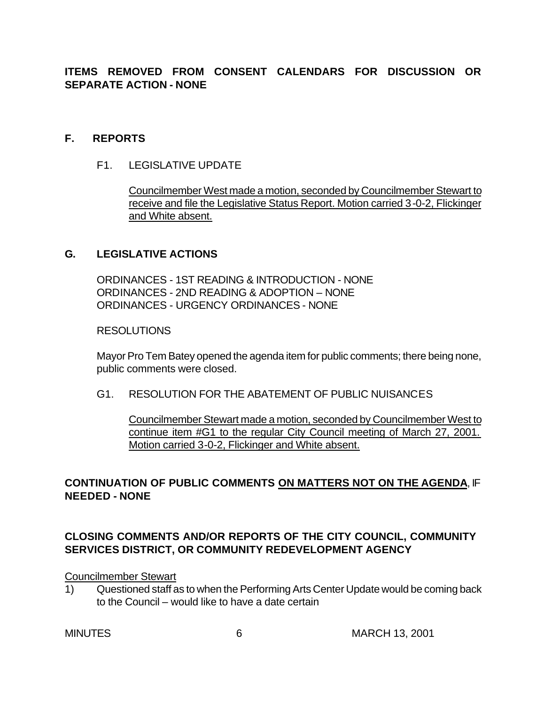**ITEMS REMOVED FROM CONSENT CALENDARS FOR DISCUSSION OR SEPARATE ACTION - NONE**

#### **F. REPORTS**

F1. LEGISLATIVE UPDATE

Councilmember West made a motion, seconded by Councilmember Stewart to receive and file the Legislative Status Report. Motion carried 3-0-2, Flickinger and White absent.

### **G. LEGISLATIVE ACTIONS**

ORDINANCES - 1ST READING & INTRODUCTION - NONE ORDINANCES - 2ND READING & ADOPTION – NONE ORDINANCES - URGENCY ORDINANCES - NONE

#### **RESOLUTIONS**

Mayor Pro Tem Batey opened the agenda item for public comments; there being none, public comments were closed.

G1. RESOLUTION FOR THE ABATEMENT OF PUBLIC NUISANCES

Councilmember Stewart made a motion, seconded by Councilmember West to continue item #G1 to the regular City Council meeting of March 27, 2001. Motion carried 3-0-2, Flickinger and White absent.

## **CONTINUATION OF PUBLIC COMMENTS ON MATTERS NOT ON THE AGENDA**, IF **NEEDED - NONE**

# **CLOSING COMMENTS AND/OR REPORTS OF THE CITY COUNCIL, COMMUNITY SERVICES DISTRICT, OR COMMUNITY REDEVELOPMENT AGENCY**

#### Councilmember Stewart

1) Questioned staff as to when the Performing Arts Center Update would be coming back to the Council – would like to have a date certain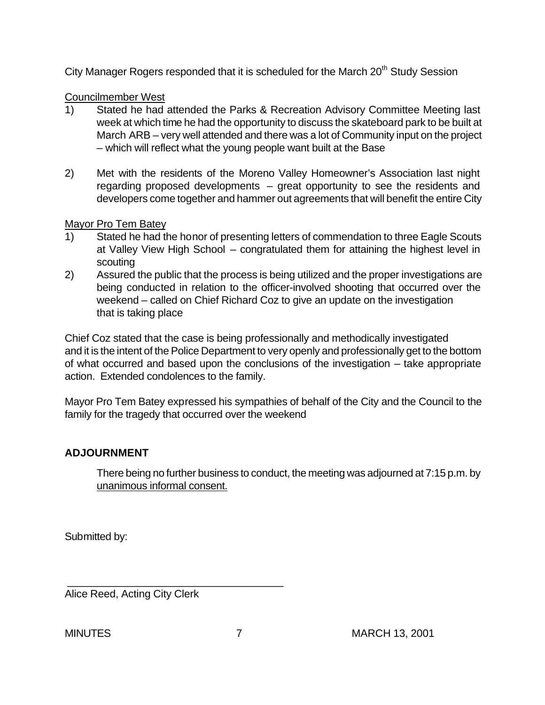City Manager Rogers responded that it is scheduled for the March 20<sup>th</sup> Study Session

## Councilmember West

- 1) Stated he had attended the Parks & Recreation Advisory Committee Meeting last week at which time he had the opportunity to discuss the skateboard park to be built at March ARB – very well attended and there was a lot of Community input on the project – which will reflect what the young people want built at the Base
- 2) Met with the residents of the Moreno Valley Homeowner's Association last night regarding proposed developments – great opportunity to see the residents and developers come together and hammer out agreements that will benefit the entire City

## Mayor Pro Tem Batey

- 1) Stated he had the honor of presenting letters of commendation to three Eagle Scouts at Valley View High School – congratulated them for attaining the highest level in scouting
- 2) Assured the public that the process is being utilized and the proper investigations are being conducted in relation to the officer-involved shooting that occurred over the weekend – called on Chief Richard Coz to give an update on the investigation that is taking place

Chief Coz stated that the case is being professionally and methodically investigated and it is the intent of the Police Department to very openly and professionally get to the bottom of what occurred and based upon the conclusions of the investigation – take appropriate action. Extended condolences to the family.

Mayor Pro Tem Batey expressed his sympathies of behalf of the City and the Council to the family for the tragedy that occurred over the weekend

# **ADJOURNMENT**

There being no further business to conduct, the meeting was adjourned at 7:15 p.m. by unanimous informal consent.

Submitted by:

Alice Reed, Acting City Clerk

\_\_\_\_\_\_\_\_\_\_\_\_\_\_\_\_\_\_\_\_\_\_\_\_\_\_\_\_\_\_\_\_\_\_\_\_